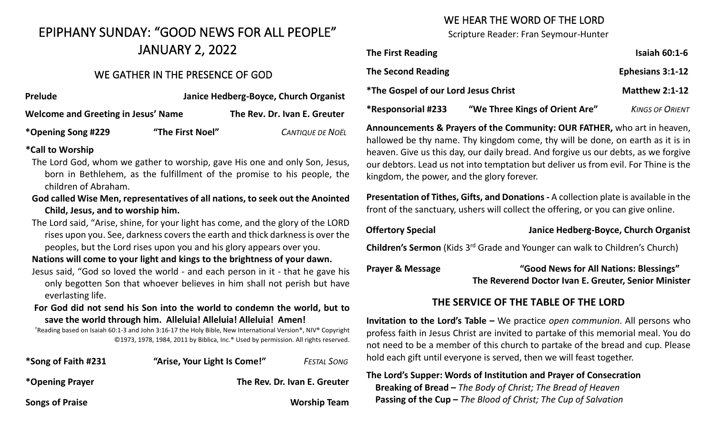# EPIPHANY SUNDAY: "GOOD NEWS FOR ALL PEOPLE" JANUARY 2, 2022

## WE GATHER IN THE PRESENCE OF GOD

| <b>Prelude</b>                      |                  | Janice Hedberg-Boyce, Church Organist |  |  |
|-------------------------------------|------------------|---------------------------------------|--|--|
| Welcome and Greeting in Jesus' Name |                  | The Rev. Dr. Ivan E. Greuter          |  |  |
| *Opening Song #229                  | "The First Noel" | <b>CANTIQUE DE NOËL</b>               |  |  |

#### **\*Call to Worship**

- The Lord God, whom we gather to worship, gave His one and only Son, Jesus, born in Bethlehem, as the fulfillment of the promise to his people, the children of Abraham.
- **God called Wise Men, representatives of all nations, to seek out the Anointed Child, Jesus, and to worship him.**
- The Lord said, "Arise, shine, for your light has come, and the glory of the LORD rises upon you. See, darkness covers the earth and thick darkness is over the peoples, but the Lord rises upon you and his glory appears over you.

**Nations will come to your light and kings to the brightness of your dawn.**

- Jesus said, "God so loved the world and each person in it that he gave his only begotten Son that whoever believes in him shall not perish but have everlasting life.
- **For God did not send his Son into the world to condemn the world, but to save the world through him. Alleluia! Alleluia! Alleluia! Amen!**

†Reading based on Isaiah 60:1-3 and John 3:16-17 the Holy Bible, New International Version®, NIV® Copyright ©1973, 1978, 1984, 2011 by Biblica, Inc.® Used by permission. All rights reserved.

| *Song of Faith #231    | "Arise, Your Light Is Come!" | <b>FESTAL SONG</b>           |
|------------------------|------------------------------|------------------------------|
| *Opening Prayer        |                              | The Rev. Dr. Ivan E. Greuter |
| <b>Songs of Praise</b> |                              | <b>Worship Team</b>          |

# WE HEAR THE WORD OF THE LORD

Scripture Reader: Fran Seymour-Hunter

| <b>The First Reading</b>                           |                                | <b>Isaiah 60:1-6</b>   |
|----------------------------------------------------|--------------------------------|------------------------|
| <b>The Second Reading</b>                          |                                | Ephesians 3:1-12       |
| <i><b>*The Gospel of our Lord Jesus Christ</b></i> |                                | <b>Matthew 2:1-12</b>  |
| <i><b>*Responsorial #233</b></i>                   | "We Three Kings of Orient Are" | <b>KINGS OF ORIENT</b> |

**Announcements & Prayers of the Community: OUR FATHER,** who art in heaven, hallowed be thy name. Thy kingdom come, thy will be done, on earth as it is in heaven. Give us this day, our daily bread. And forgive us our debts, as we forgive our debtors. Lead us not into temptation but deliver us from evil. For Thine is the kingdom, the power, and the glory forever.

**Presentation of Tithes, Gifts, and Donations -** A collection plate is available in the front of the sanctuary, ushers will collect the offering, or you can give online.

#### **Offertory Special Janice Hedberg-Boyce, Church Organist**

**Children's Sermon** (Kids 3rd Grade and Younger can walk to Children's Church)

**Prayer & Message "Good News for All Nations: Blessings" The Reverend Doctor Ivan E. Greuter, Senior Minister**

# **THE SERVICE OF THE TABLE OF THE LORD**

**Invitation to the Lord's Table –** We practice *open communion*. All persons who profess faith in Jesus Christ are invited to partake of this memorial meal. You do not need to be a member of this church to partake of the bread and cup. Please hold each gift until everyone is served, then we will feast together.

## **The Lord's Supper: Words of Institution and Prayer of Consecration Breaking of Bread –** *The Body of Christ; The Bread of Heaven*  **Passing of the Cup –** *The Blood of Christ; The Cup of Salvation*